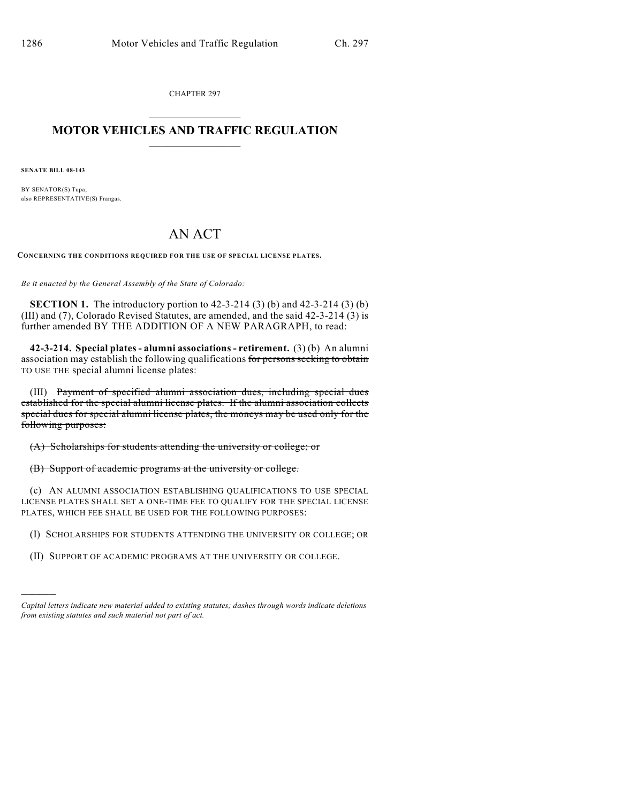CHAPTER 297

## $\mathcal{L}_\text{max}$  . The set of the set of the set of the set of the set of the set of the set of the set of the set of the set of the set of the set of the set of the set of the set of the set of the set of the set of the set **MOTOR VEHICLES AND TRAFFIC REGULATION**  $\frac{1}{2}$  ,  $\frac{1}{2}$  ,  $\frac{1}{2}$  ,  $\frac{1}{2}$  ,  $\frac{1}{2}$  ,  $\frac{1}{2}$  ,  $\frac{1}{2}$  ,  $\frac{1}{2}$

**SENATE BILL 08-143**

)))))

BY SENATOR(S) Tupa; also REPRESENTATIVE(S) Frangas.

## AN ACT

**CONCERNING THE CONDITIONS REQUIRED FOR THE USE OF SPECIAL LICENSE PLATES.**

*Be it enacted by the General Assembly of the State of Colorado:*

**SECTION 1.** The introductory portion to 42-3-214 (3) (b) and 42-3-214 (3) (b) (III) and (7), Colorado Revised Statutes, are amended, and the said 42-3-214 (3) is further amended BY THE ADDITION OF A NEW PARAGRAPH, to read:

**42-3-214. Special plates - alumni associations - retirement.** (3) (b) An alumni association may establish the following qualifications for persons seeking to obtain TO USE THE special alumni license plates:

(III) Payment of specified alumni association dues, including special dues established for the special alumni license plates. If the alumni association collects special dues for special alumni license plates, the moneys may be used only for the following purposes:

(A) Scholarships for students attending the university or college; or

(B) Support of academic programs at the university or college.

(c) AN ALUMNI ASSOCIATION ESTABLISHING QUALIFICATIONS TO USE SPECIAL LICENSE PLATES SHALL SET A ONE-TIME FEE TO QUALIFY FOR THE SPECIAL LICENSE PLATES, WHICH FEE SHALL BE USED FOR THE FOLLOWING PURPOSES:

(I) SCHOLARSHIPS FOR STUDENTS ATTENDING THE UNIVERSITY OR COLLEGE; OR

(II) SUPPORT OF ACADEMIC PROGRAMS AT THE UNIVERSITY OR COLLEGE.

*Capital letters indicate new material added to existing statutes; dashes through words indicate deletions from existing statutes and such material not part of act.*